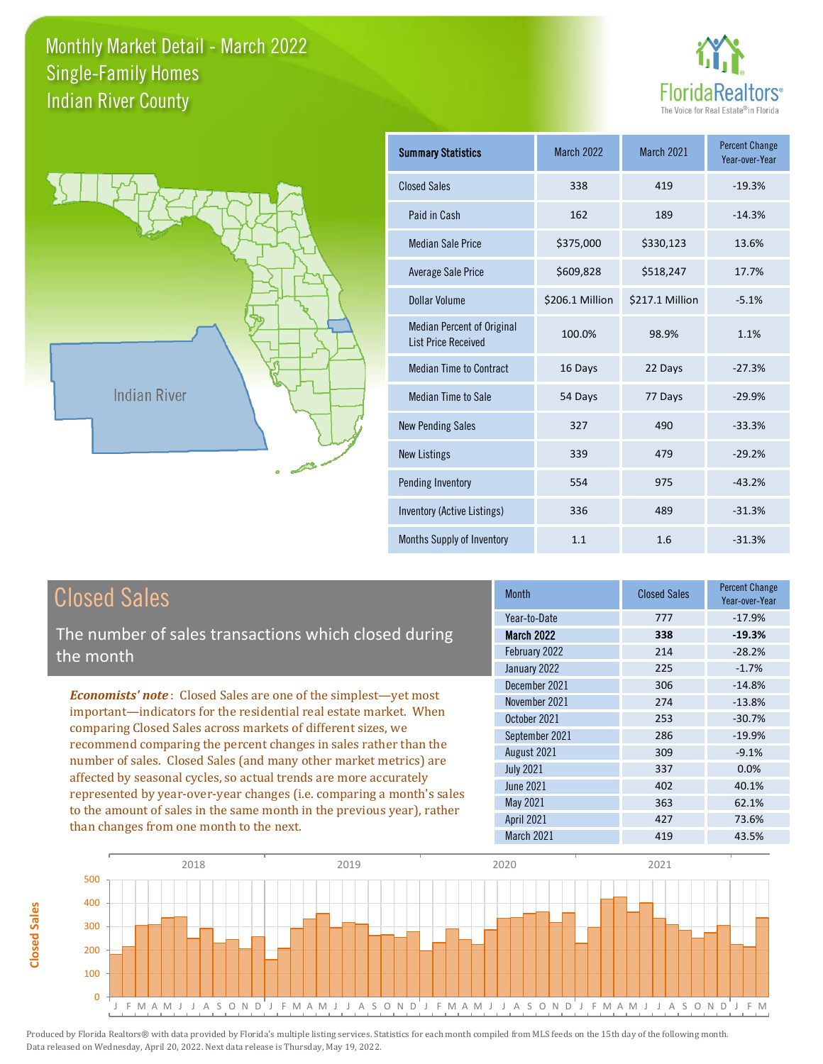



| <b>Summary Statistics</b>                                       | <b>March 2022</b> | <b>March 2021</b> | <b>Percent Change</b><br>Year-over-Year |
|-----------------------------------------------------------------|-------------------|-------------------|-----------------------------------------|
| <b>Closed Sales</b>                                             | 338               | 419               | $-19.3%$                                |
| Paid in Cash                                                    | 162               | 189               | $-14.3%$                                |
| <b>Median Sale Price</b>                                        | \$375,000         | \$330,123         | 13.6%                                   |
| <b>Average Sale Price</b>                                       | \$609,828         | \$518,247         | 17.7%                                   |
| <b>Dollar Volume</b>                                            | \$206.1 Million   | \$217.1 Million   | $-5.1%$                                 |
| <b>Median Percent of Original</b><br><b>List Price Received</b> | 100.0%            | 98.9%             | 1.1%                                    |
| <b>Median Time to Contract</b>                                  | 16 Days           | 22 Days           | $-27.3%$                                |
| <b>Median Time to Sale</b>                                      | 54 Days           | 77 Days           | $-29.9%$                                |
| <b>New Pending Sales</b>                                        | 327               | 490               | $-33.3%$                                |
| <b>New Listings</b>                                             | 339               | 479               | $-29.2%$                                |
| Pending Inventory                                               | 554               | 975               | $-43.2%$                                |
| Inventory (Active Listings)                                     | 336               | 489               | $-31.3%$                                |
| <b>Months Supply of Inventory</b>                               | 1.1               | 1.6               | $-31.3%$                                |

**Closed Sales**

**Closed Sales** 

The number of sales transactions which closed during the month

*Economists' note* : Closed Sales are one of the simplest—yet most important—indicators for the residential real estate market. When comparing Closed Sales across markets of different sizes, we recommend comparing the percent changes in sales rather than the number of sales. Closed Sales (and many other market metrics) are affected by seasonal cycles, so actual trends are more accurately represented by year-over-year changes (i.e. comparing a month's sales to the amount of sales in the same month in the previous year), rather than changes from one month to the next.

| <b>Month</b>      | <b>Closed Sales</b> | <b>Percent Change</b><br>Year-over-Year |
|-------------------|---------------------|-----------------------------------------|
| Year-to-Date      | 777                 | $-17.9%$                                |
| <b>March 2022</b> | 338                 | $-19.3%$                                |
| February 2022     | 214                 | $-28.2%$                                |
| January 2022      | 225                 | $-1.7%$                                 |
| December 2021     | 306                 | $-14.8%$                                |
| November 2021     | 274                 | $-13.8%$                                |
| October 2021      | 253                 | $-30.7%$                                |
| September 2021    | 286                 | $-19.9%$                                |
| August 2021       | 309                 | $-9.1%$                                 |
| <b>July 2021</b>  | 337                 | 0.0%                                    |
| June 2021         | 402                 | 40.1%                                   |
| May 2021          | 363                 | 62.1%                                   |
| <b>April 2021</b> | 427                 | 73.6%                                   |
| March 2021        | 419                 | 43.5%                                   |
|                   |                     |                                         |

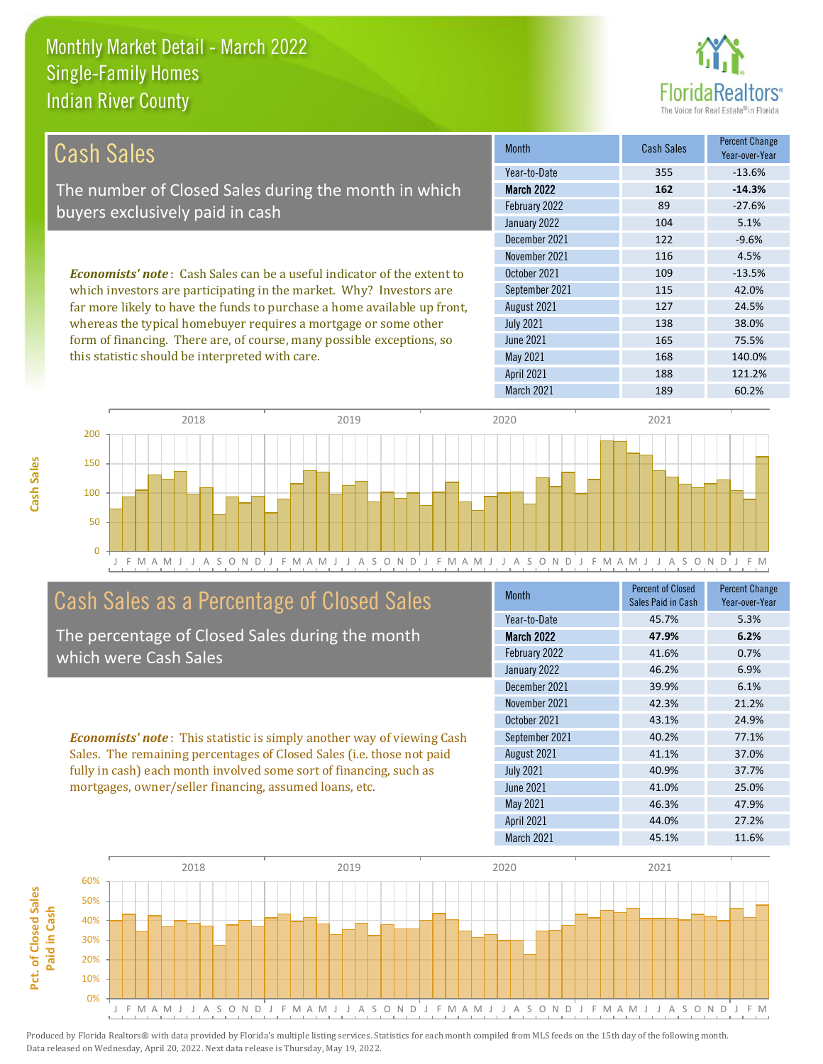

| <b>Cash Sales</b>                                                                                                                                                                                                                                                                                                                                                                                                                | <b>Month</b>      | <b>Cash Sales</b> | <b>Percent Change</b><br>Year-over-Year |
|----------------------------------------------------------------------------------------------------------------------------------------------------------------------------------------------------------------------------------------------------------------------------------------------------------------------------------------------------------------------------------------------------------------------------------|-------------------|-------------------|-----------------------------------------|
|                                                                                                                                                                                                                                                                                                                                                                                                                                  | Year-to-Date      | 355               | $-13.6%$                                |
| The number of Closed Sales during the month in which                                                                                                                                                                                                                                                                                                                                                                             | <b>March 2022</b> | 162               | $-14.3%$                                |
| buyers exclusively paid in cash                                                                                                                                                                                                                                                                                                                                                                                                  | February 2022     | 89                | $-27.6%$                                |
|                                                                                                                                                                                                                                                                                                                                                                                                                                  | January 2022      | 104               | 5.1%                                    |
|                                                                                                                                                                                                                                                                                                                                                                                                                                  | December 2021     | 122               | $-9.6%$                                 |
|                                                                                                                                                                                                                                                                                                                                                                                                                                  | November 2021     | 116               | 4.5%                                    |
| <b>Economists' note:</b> Cash Sales can be a useful indicator of the extent to<br>which investors are participating in the market. Why? Investors are<br>far more likely to have the funds to purchase a home available up front,<br>whereas the typical homebuyer requires a mortgage or some other<br>form of financing. There are, of course, many possible exceptions, so<br>this statistic should be interpreted with care. | October 2021      | 109               | $-13.5%$                                |
|                                                                                                                                                                                                                                                                                                                                                                                                                                  | September 2021    | 115               | 42.0%                                   |
|                                                                                                                                                                                                                                                                                                                                                                                                                                  | August 2021       | 127               | 24.5%                                   |
|                                                                                                                                                                                                                                                                                                                                                                                                                                  | <b>July 2021</b>  | 138               | 38.0%                                   |
|                                                                                                                                                                                                                                                                                                                                                                                                                                  | <b>June 2021</b>  | 165               | 75.5%                                   |
|                                                                                                                                                                                                                                                                                                                                                                                                                                  | May 2021          | 168               | 140.0%                                  |
|                                                                                                                                                                                                                                                                                                                                                                                                                                  | <b>April 2021</b> | 188               | 121.2%                                  |



#### Cash Sales as a Percentage of Closed Sales

The percentage of Closed Sales during the month which were Cash Sales

*Economists' note* : This statistic is simply another way of viewing Cash Sales. The remaining percentages of Closed Sales (i.e. those not paid fully in cash) each month involved some sort of financing, such as mortgages, owner/seller financing, assumed loans, etc.

| <b>Month</b>      | <b>Percent of Closed</b><br>Sales Paid in Cash | <b>Percent Change</b><br>Year-over-Year |
|-------------------|------------------------------------------------|-----------------------------------------|
| Year-to-Date      | 45.7%                                          | 5.3%                                    |
| <b>March 2022</b> | 47.9%                                          | 6.2%                                    |
| February 2022     | 41.6%                                          | 0.7%                                    |
| January 2022      | 46.2%                                          | 6.9%                                    |
| December 2021     | 39.9%                                          | 6.1%                                    |
| November 2021     | 42.3%                                          | 21.2%                                   |
| October 2021      | 43.1%                                          | 24.9%                                   |
| September 2021    | 40.2%                                          | 77.1%                                   |
| August 2021       | 41.1%                                          | 37.0%                                   |
| <b>July 2021</b>  | 40.9%                                          | 37.7%                                   |
| <b>June 2021</b>  | 41.0%                                          | 25.0%                                   |
| May 2021          | 46.3%                                          | 47.9%                                   |
| <b>April 2021</b> | 44.0%                                          | 27.2%                                   |
| March 2021        | 45.1%                                          | 11.6%                                   |

March 2021 189 60.2%

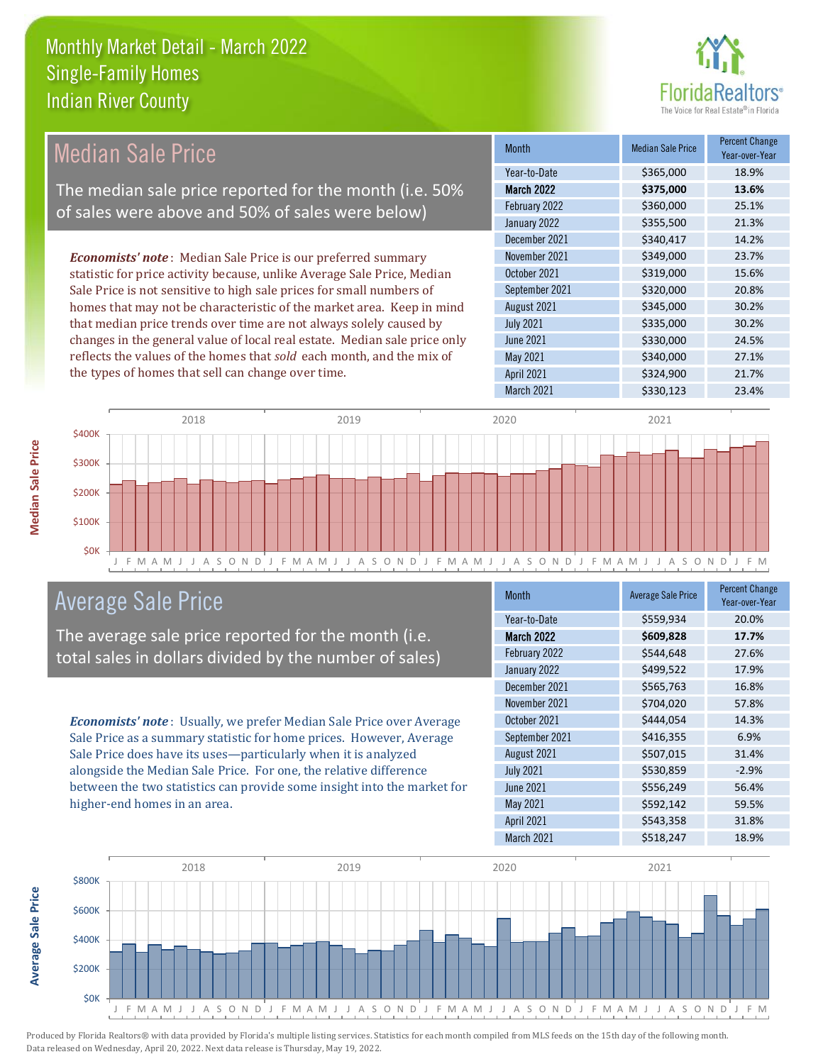

| Median Sale Price                                                         | <b>Month</b>      | <b>Median Sale Price</b> | <b>Percent Change</b><br>Year-over-Year |
|---------------------------------------------------------------------------|-------------------|--------------------------|-----------------------------------------|
|                                                                           | Year-to-Date      | \$365,000                | 18.9%                                   |
| The median sale price reported for the month (i.e. 50%                    | <b>March 2022</b> | \$375,000                | 13.6%                                   |
| of sales were above and 50% of sales were below)                          | February 2022     | \$360,000                | 25.1%                                   |
|                                                                           | January 2022      | \$355,500                | 21.3%                                   |
|                                                                           | December 2021     | \$340,417                | 14.2%                                   |
| <b>Economists' note:</b> Median Sale Price is our preferred summary       | November 2021     | \$349,000                | 23.7%                                   |
| statistic for price activity because, unlike Average Sale Price, Median   | October 2021      | \$319,000                | 15.6%                                   |
| Sale Price is not sensitive to high sale prices for small numbers of      | September 2021    | \$320,000                | 20.8%                                   |
| homes that may not be characteristic of the market area. Keep in mind     | August 2021       | \$345,000                | 30.2%                                   |
| that median price trends over time are not always solely caused by        | <b>July 2021</b>  | \$335,000                | 30.2%                                   |
| changes in the general value of local real estate. Median sale price only | June 2021         | \$330,000                | 24.5%                                   |
| reflects the values of the homes that sold each month, and the mix of     | May 2021          | \$340,000                | 27.1%                                   |
| the types of homes that sell can change over time.                        | <b>April 2021</b> | \$324,900                | 21.7%                                   |
|                                                                           | March 2021        | \$330,123                | 23.4%                                   |



#### Average Sale Price

The average sale price reported for the month (i.e. total sales in dollars divided by the number of sales)

*Economists' note* : Usually, we prefer Median Sale Price over Average Sale Price as a summary statistic for home prices. However, Average Sale Price does have its uses—particularly when it is analyzed alongside the Median Sale Price. For one, the relative difference between the two statistics can provide some insight into the market for higher-end homes in an area.

| <b>Month</b>      | <b>Average Sale Price</b> | <b>Percent Change</b><br>Year-over-Year |
|-------------------|---------------------------|-----------------------------------------|
| Year-to-Date      | \$559,934                 | 20.0%                                   |
| <b>March 2022</b> | \$609,828                 | 17.7%                                   |
| February 2022     | \$544,648                 | 27.6%                                   |
| January 2022      | \$499,522                 | 17.9%                                   |
| December 2021     | \$565,763                 | 16.8%                                   |
| November 2021     | \$704,020                 | 57.8%                                   |
| October 2021      | \$444,054                 | 14.3%                                   |
| September 2021    | \$416,355                 | 6.9%                                    |
| August 2021       | \$507,015                 | 31.4%                                   |
| <b>July 2021</b>  | \$530,859                 | $-2.9%$                                 |
| June 2021         | \$556,249                 | 56.4%                                   |
| <b>May 2021</b>   | \$592,142                 | 59.5%                                   |
| <b>April 2021</b> | \$543,358                 | 31.8%                                   |
| March 2021        | \$518,247                 | 18.9%                                   |



**Average Sale Price Average Sale Price**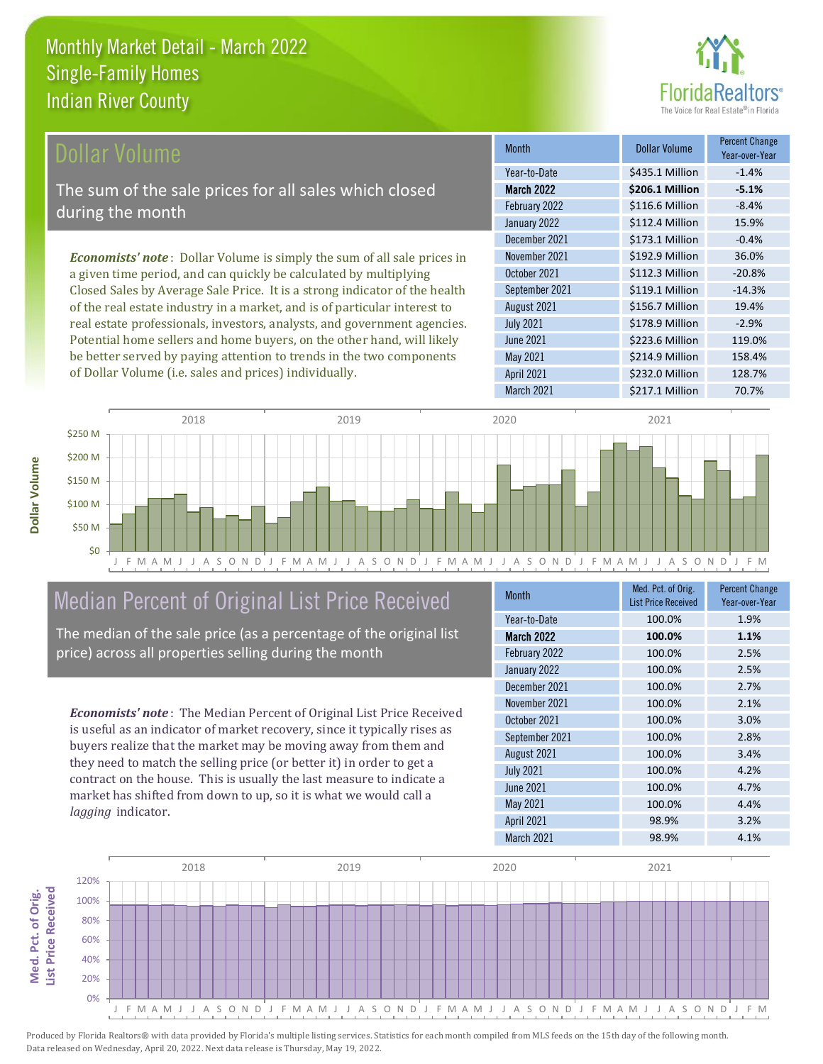

| Dollar Volume                                                                   | <b>Month</b>      | <b>Dollar Volume</b> | <b>Percent Change</b><br>Year-over-Year |
|---------------------------------------------------------------------------------|-------------------|----------------------|-----------------------------------------|
|                                                                                 | Year-to-Date      | \$435.1 Million      | $-1.4%$                                 |
| The sum of the sale prices for all sales which closed                           | <b>March 2022</b> | \$206.1 Million      | $-5.1%$                                 |
| during the month                                                                | February 2022     | \$116.6 Million      | $-8.4%$                                 |
|                                                                                 | January 2022      | \$112.4 Million      | 15.9%                                   |
|                                                                                 | December 2021     | \$173.1 Million      | $-0.4%$                                 |
| <b>Economists' note</b> : Dollar Volume is simply the sum of all sale prices in | November 2021     | \$192.9 Million      | 36.0%                                   |
| a given time period, and can quickly be calculated by multiplying               | October 2021      | \$112.3 Million      | $-20.8%$                                |
| Closed Sales by Average Sale Price. It is a strong indicator of the health      | September 2021    | \$119.1 Million      | $-14.3%$                                |
| of the real estate industry in a market, and is of particular interest to       | August 2021       | \$156.7 Million      | 19.4%                                   |
| real estate professionals, investors, analysts, and government agencies.        | <b>July 2021</b>  | \$178.9 Million      | $-2.9%$                                 |
| Potential home sellers and home buyers, on the other hand, will likely          | <b>June 2021</b>  | \$223.6 Million      | 119.0%                                  |



#### Median Percent of Original List Price Received

be better served by paying attention to trends in the two components

of Dollar Volume (i.e. sales and prices) individually.

The median of the sale price (as a percentage of the original list price) across all properties selling during the month

*Economists' note* : The Median Percent of Original List Price Received is useful as an indicator of market recovery, since it typically rises as buyers realize that the market may be moving away from them and they need to match the selling price (or better it) in order to get a contract on the house. This is usually the last measure to indicate a market has shifted from down to up, so it is what we would call a *lagging* indicator.

**Med. Pct. of Orig.** 

Med. Pct. of Orig.

**Dollar Volume**

Dollar Volume

| <b>Month</b>      | Med. Pct. of Orig.<br><b>List Price Received</b> | <b>Percent Change</b><br>Year-over-Year |
|-------------------|--------------------------------------------------|-----------------------------------------|
| Year-to-Date      | 100.0%                                           | 1.9%                                    |
| <b>March 2022</b> | 100.0%                                           | 1.1%                                    |
| February 2022     | 100.0%                                           | 2.5%                                    |
| January 2022      | 100.0%                                           | 2.5%                                    |
| December 2021     | 100.0%                                           | 2.7%                                    |
| November 2021     | 100.0%                                           | 2.1%                                    |
| October 2021      | 100.0%                                           | 3.0%                                    |
| September 2021    | 100.0%                                           | 2.8%                                    |
| August 2021       | 100.0%                                           | 3.4%                                    |
| <b>July 2021</b>  | 100.0%                                           | 4.2%                                    |
| June 2021         | 100.0%                                           | 4.7%                                    |
| May 2021          | 100.0%                                           | 4.4%                                    |
| <b>April 2021</b> | 98.9%                                            | 3.2%                                    |
| March 2021        | 98.9%                                            | 4.1%                                    |

March 2021 **\$217.1 Million** 70.7%

April 2021 \$232.0 Million 128.7%

\$214.9 Million 158.4%

May 2021

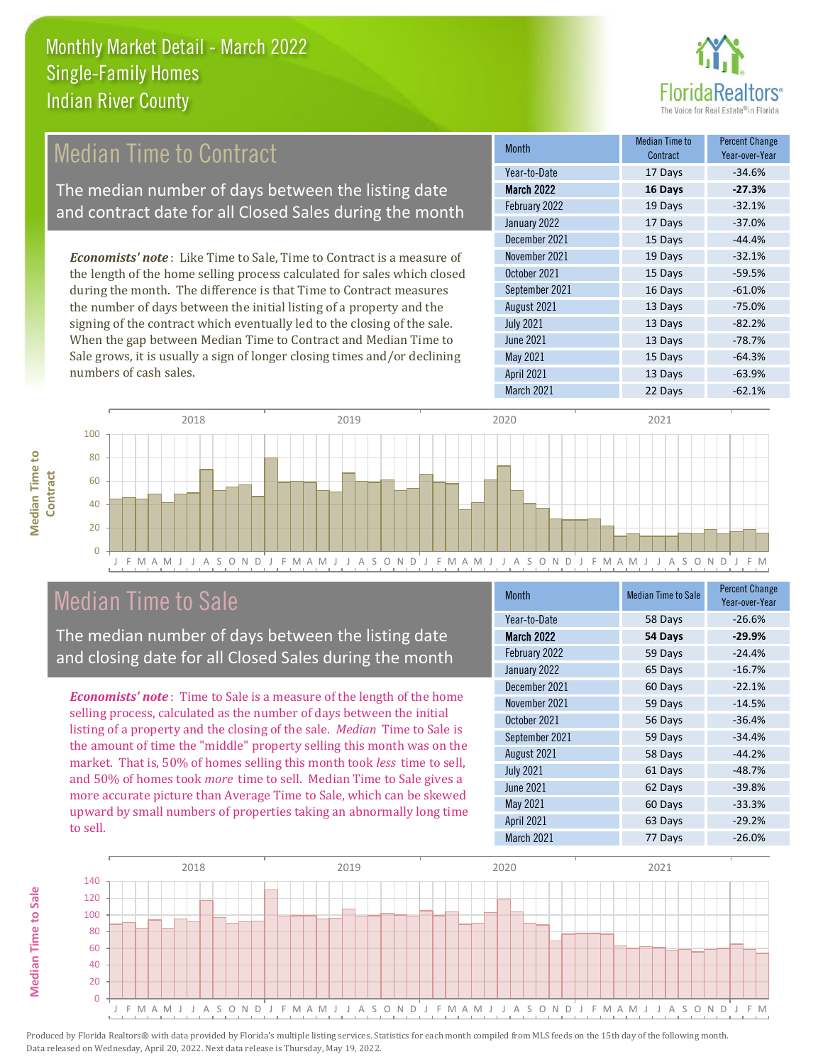

#### 17 Days -37.0% December 2021 15 Days -44.4% Month Median Time to Contract Percent Change Year-over-Year March 2022 **16 Days -27.3%** Year-to-Date 17 Days -34.6% February 2022 **19 Days** -32.1% January 2022 September 2021 16 Days -61.0% November 2021 19 Days -32.1% October 2021 **15 Days** -59.5% *Economists' note* : Like Time to Sale, Time to Contract is a measure of the length of the home selling process calculated for sales which closed during the month. The difference is that Time to Contract measures Median Time to Contract The median number of days between the listing date and contract date for all Closed Sales during the month

the number of days between the initial listing of a property and the signing of the contract which eventually led to the closing of the sale. When the gap between Median Time to Contract and Median Time to Sale grows, it is usually a sign of longer closing times and/or declining numbers of cash sales.

|                   | <b>UUIILI AUL</b> | 1 01 - 01 01 - 1 01 |
|-------------------|-------------------|---------------------|
| Year-to-Date      | 17 Days           | $-34.6%$            |
| <b>March 2022</b> | 16 Days           | $-27.3%$            |
| February 2022     | 19 Days           | $-32.1%$            |
| January 2022      | 17 Days           | $-37.0%$            |
| December 2021     | 15 Days           | $-44.4%$            |
| November 2021     | 19 Days           | $-32.1%$            |
| October 2021      | 15 Days           | $-59.5%$            |
| September 2021    | 16 Days           | $-61.0%$            |
| August 2021       | 13 Days           | $-75.0%$            |
| <b>July 2021</b>  | 13 Days           | $-82.2%$            |
| <b>June 2021</b>  | 13 Days           | $-78.7%$            |
| May 2021          | 15 Days           | $-64.3%$            |
| <b>April 2021</b> | 13 Days           | $-63.9%$            |
| March 2021        | 22 Days           | $-62.1%$            |



#### Median Time to Sale

The median number of days between the listing date and closing date for all Closed Sales during the month

*Economists' note* : Time to Sale is a measure of the length of the home selling process, calculated as the number of days between the initial listing of a property and the closing of the sale. *Median* Time to Sale is the amount of time the "middle" property selling this month was on the market. That is, 50% of homes selling this month took *less* time to sell, and 50% of homes took *more* time to sell. Median Time to Sale gives a more accurate picture than Average Time to Sale, which can be skewed upward by small numbers of properties taking an abnormally long time to sell.

| <b>Month</b>      | <b>Median Time to Sale</b> | <b>Percent Change</b><br>Year-over-Year |
|-------------------|----------------------------|-----------------------------------------|
| Year-to-Date      | 58 Days                    | $-26.6%$                                |
| March 2022        | 54 Days                    | $-29.9%$                                |
| February 2022     | 59 Days                    | $-24.4%$                                |
| January 2022      | 65 Days                    | $-16.7%$                                |
| December 2021     | 60 Days                    | $-22.1%$                                |
| November 2021     | 59 Days                    | $-14.5%$                                |
| October 2021      | 56 Days                    | $-36.4%$                                |
| September 2021    | 59 Days                    | $-34.4%$                                |
| August 2021       | 58 Days                    | $-44.2%$                                |
| <b>July 2021</b>  | 61 Days                    | $-48.7%$                                |
| <b>June 2021</b>  | 62 Days                    | $-39.8%$                                |
| May 2021          | 60 Days                    | $-33.3%$                                |
| <b>April 2021</b> | 63 Days                    | $-29.2%$                                |
| March 2021        | 77 Days                    | $-26.0%$                                |



**Median Time to**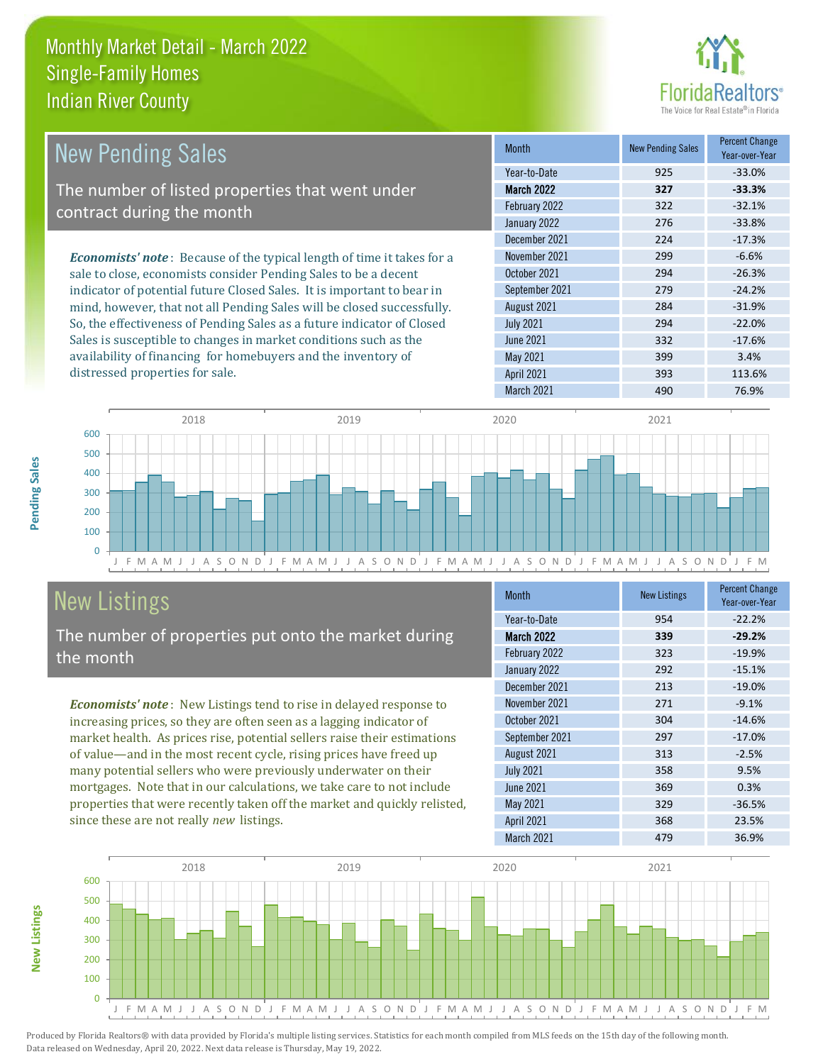

| <b>New Pending Sales</b>                                                      | <b>Month</b>      | <b>New Pending Sales</b> | <b>Percent Change</b><br>Year-over-Year |
|-------------------------------------------------------------------------------|-------------------|--------------------------|-----------------------------------------|
|                                                                               | Year-to-Date      | 925                      | $-33.0%$                                |
| The number of listed properties that went under                               | <b>March 2022</b> | 327                      | $-33.3%$                                |
| contract during the month                                                     | February 2022     | 322                      | $-32.1%$                                |
|                                                                               | January 2022      | 276                      | $-33.8%$                                |
|                                                                               | December 2021     | 224                      | $-17.3%$                                |
| <b>Economists' note:</b> Because of the typical length of time it takes for a | November 2021     | 299                      | $-6.6%$                                 |
| sale to close, economists consider Pending Sales to be a decent               | October 2021      | 294                      | $-26.3%$                                |
| indicator of potential future Closed Sales. It is important to bear in        | September 2021    | 279                      | $-24.2%$                                |
| mind, however, that not all Pending Sales will be closed successfully.        | August 2021       | 284                      | $-31.9%$                                |
| So, the effectiveness of Pending Sales as a future indicator of Closed        | <b>July 2021</b>  | 294                      | $-22.0%$                                |
| Sales is susceptible to changes in market conditions such as the              | June 2021         | 332                      | $-17.6%$                                |
| availability of financing for homebuyers and the inventory of                 | May 2021          | 399                      | 3.4%                                    |



### New Listings

**New Listings**

**Pending Sales**

Pending Sales

distressed properties for sale.

The number of properties put onto the market during the month

*Economists' note* : New Listings tend to rise in delayed response to increasing prices, so they are often seen as a lagging indicator of market health. As prices rise, potential sellers raise their estimations of value—and in the most recent cycle, rising prices have freed up many potential sellers who were previously underwater on their mortgages. Note that in our calculations, we take care to not include properties that were recently taken off the market and quickly relisted, since these are not really *new* listings.

| <b>Month</b>      | <b>New Listings</b> | <b>Percent Change</b><br>Year-over-Year |  |
|-------------------|---------------------|-----------------------------------------|--|
| Year-to-Date      | 954                 | $-22.2%$                                |  |
| <b>March 2022</b> | 339                 | $-29.2%$                                |  |
| February 2022     | 323                 | $-19.9%$                                |  |
| January 2022      | 292                 | $-15.1%$                                |  |
| December 2021     | 213                 | $-19.0%$                                |  |
| November 2021     | 271                 | $-9.1%$                                 |  |
| October 2021      | 304                 | $-14.6%$                                |  |
| September 2021    | 297                 | $-17.0%$                                |  |
| August 2021       | 313                 | $-2.5%$                                 |  |
| <b>July 2021</b>  | 358                 | 9.5%                                    |  |
| June 2021         | 369                 | 0.3%                                    |  |
| May 2021          | 329                 | $-36.5%$                                |  |
| <b>April 2021</b> | 368                 | 23.5%                                   |  |
| March 2021        | 479                 | 36.9%                                   |  |

April 2021 393 113.6%

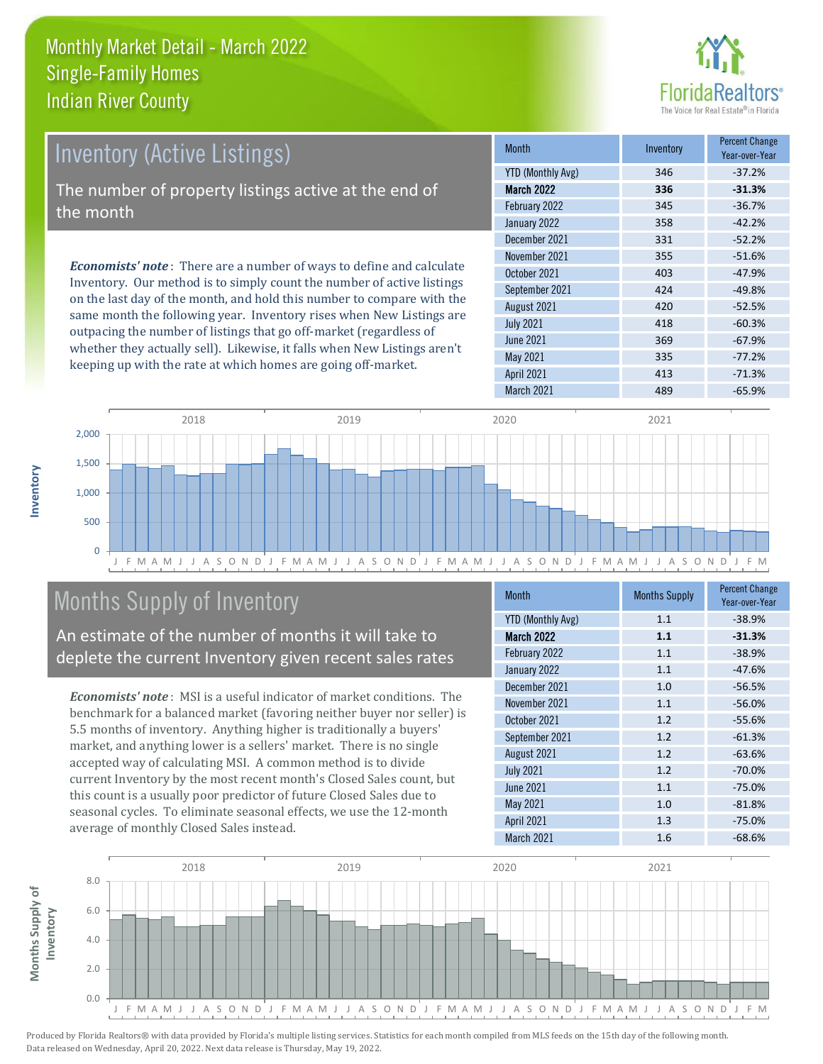

| <b>Inventory (Active Listings)</b>                                                                                                                                                                                               | <b>Month</b>      | Inventory | <b>Percent Change</b><br>Year-over-Year |
|----------------------------------------------------------------------------------------------------------------------------------------------------------------------------------------------------------------------------------|-------------------|-----------|-----------------------------------------|
|                                                                                                                                                                                                                                  | YTD (Monthly Avg) | 346       | $-37.2%$                                |
| The number of property listings active at the end of                                                                                                                                                                             | <b>March 2022</b> | 336       | $-31.3%$                                |
| the month                                                                                                                                                                                                                        | February 2022     | 345       | $-36.7%$                                |
|                                                                                                                                                                                                                                  | January 2022      | 358       | $-42.2%$                                |
|                                                                                                                                                                                                                                  | December 2021     | 331       | $-52.2%$                                |
| <b>Economists' note</b> : There are a number of ways to define and calculate<br>Inventory. Our method is to simply count the number of active listings<br>on the last day of the month, and hold this number to compare with the | November 2021     | 355       | $-51.6%$                                |
|                                                                                                                                                                                                                                  | October 2021      | 403       | $-47.9%$                                |
|                                                                                                                                                                                                                                  | September 2021    | 424       | $-49.8%$                                |
|                                                                                                                                                                                                                                  | 1.2.21001         | 120       | F2 F0                                   |

same month the following year. Inventory rises when New Listings are outpacing the number of listings that go off-market (regardless of whether they actually sell). Likewise, it falls when New Listings aren't keeping up with the rate at which homes are going off-market.

|                          |     | rear-over-rear |
|--------------------------|-----|----------------|
| <b>YTD (Monthly Avg)</b> | 346 | $-37.2%$       |
| <b>March 2022</b>        | 336 | $-31.3%$       |
| February 2022            | 345 | $-36.7%$       |
| January 2022             | 358 | $-42.2%$       |
| December 2021            | 331 | $-52.2%$       |
| November 2021            | 355 | $-51.6%$       |
| October 2021             | 403 | $-47.9%$       |
| September 2021           | 424 | $-49.8%$       |
| August 2021              | 420 | $-52.5%$       |
| <b>July 2021</b>         | 418 | $-60.3%$       |
| <b>June 2021</b>         | 369 | $-67.9%$       |
| May 2021                 | 335 | $-77.2%$       |
| <b>April 2021</b>        | 413 | $-71.3%$       |
| March 2021               | 489 | $-65.9%$       |



#### Months Supply of Inventory

An estimate of the number of months it will take to deplete the current Inventory given recent sales rates

*Economists' note* : MSI is a useful indicator of market conditions. The benchmark for a balanced market (favoring neither buyer nor seller) is 5.5 months of inventory. Anything higher is traditionally a buyers' market, and anything lower is a sellers' market. There is no single accepted way of calculating MSI. A common method is to divide current Inventory by the most recent month's Closed Sales count, but this count is a usually poor predictor of future Closed Sales due to seasonal cycles. To eliminate seasonal effects, we use the 12-month average of monthly Closed Sales instead.

| <b>Month</b>             | <b>Months Supply</b> | <b>Percent Change</b><br>Year-over-Year |  |
|--------------------------|----------------------|-----------------------------------------|--|
| <b>YTD (Monthly Avg)</b> | 1.1                  | $-38.9%$                                |  |
| <b>March 2022</b>        | 1.1                  | $-31.3%$                                |  |
| February 2022            | 1.1                  | $-38.9%$                                |  |
| January 2022             | 1.1                  | $-47.6%$                                |  |
| December 2021            | 1.0                  | $-56.5%$                                |  |
| November 2021            | 1.1                  | $-56.0%$                                |  |
| October 2021             | 1.2                  | $-55.6%$                                |  |
| September 2021           | 1.2                  | $-61.3%$                                |  |
| August 2021              | 1.2                  | $-63.6%$                                |  |
| <b>July 2021</b>         | 1.2                  | $-70.0%$                                |  |
| <b>June 2021</b>         | 1.1                  | $-75.0%$                                |  |
| May 2021                 | 1.0                  | $-81.8%$                                |  |
| <b>April 2021</b>        | 1.3                  | $-75.0%$                                |  |
| March 2021               | 1.6                  | $-68.6%$                                |  |



**Inventory**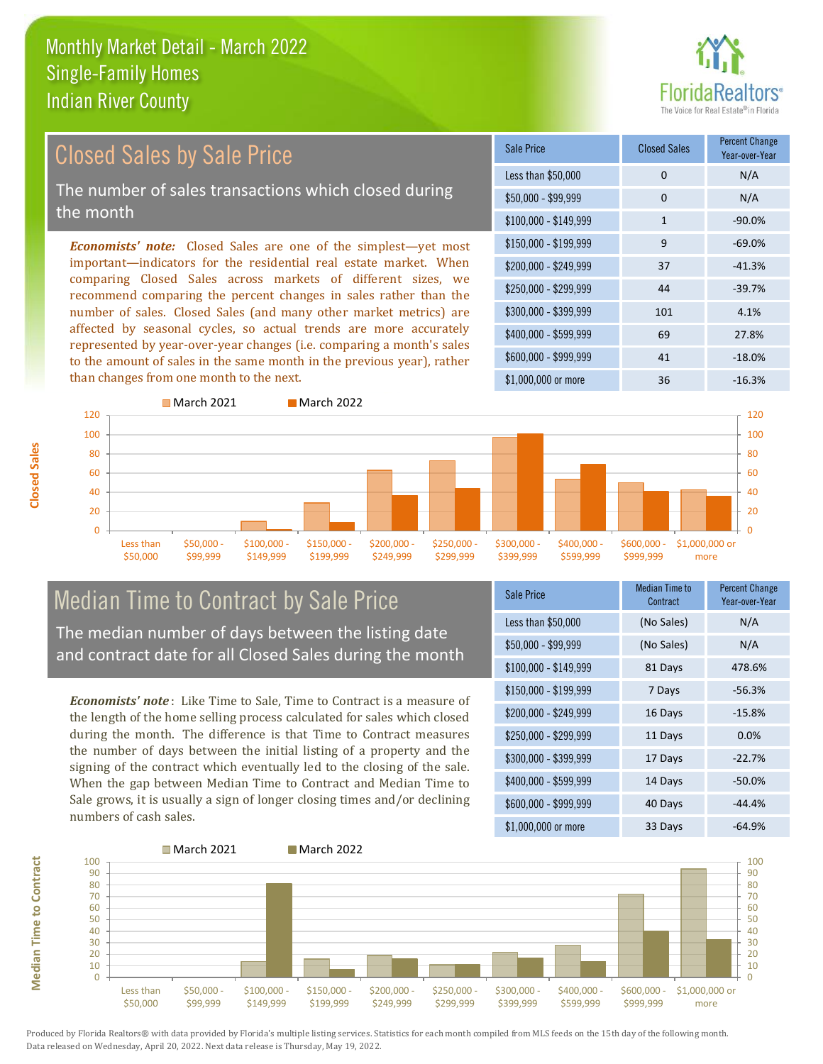# altors<sup>®</sup>

#### Closed Sales by Sale Price

The number of sales transactions which closed during the month

*Economists' note:* Closed Sales are one of the simplest—yet most important—indicators for the residential real estate market. When comparing Closed Sales across markets of different sizes, we recommend comparing the percent changes in sales rather than the number of sales. Closed Sales (and many other market metrics) are affected by seasonal cycles, so actual trends are more accurately represented by year-over-year changes (i.e. comparing a month's sales to the amount of sales in the same month in the previous year), rather than changes from one month to the next.





### Median Time to Contract by Sale Price

The median number of days between the listing date and contract date for all Closed Sales during the month

*Economists' note* : Like Time to Sale, Time to Contract is a measure of the length of the home selling process calculated for sales which closed during the month. The difference is that Time to Contract measures the number of days between the initial listing of a property and the signing of the contract which eventually led to the closing of the sale. When the gap between Median Time to Contract and Median Time to Sale grows, it is usually a sign of longer closing times and/or declining numbers of cash sales.

| Sale Price            | Median Time to<br>Contract | <b>Percent Change</b><br>Year-over-Year |  |
|-----------------------|----------------------------|-----------------------------------------|--|
| Less than \$50,000    | (No Sales)                 | N/A                                     |  |
| \$50,000 - \$99,999   | (No Sales)                 | N/A                                     |  |
| $$100,000 - $149,999$ | 81 Days                    | 478.6%                                  |  |
| \$150,000 - \$199,999 | 7 Days                     | $-56.3%$                                |  |
| \$200,000 - \$249,999 | 16 Days                    | $-15.8%$                                |  |
| \$250,000 - \$299,999 | 11 Days                    | 0.0%                                    |  |
| \$300,000 - \$399,999 | 17 Days                    | $-22.7%$                                |  |
| \$400,000 - \$599,999 | 14 Days                    | $-50.0%$                                |  |
| \$600,000 - \$999,999 | 40 Days                    | $-44.4%$                                |  |
| $$1,000,000$ or more  | 33 Days                    | $-64.9%$                                |  |

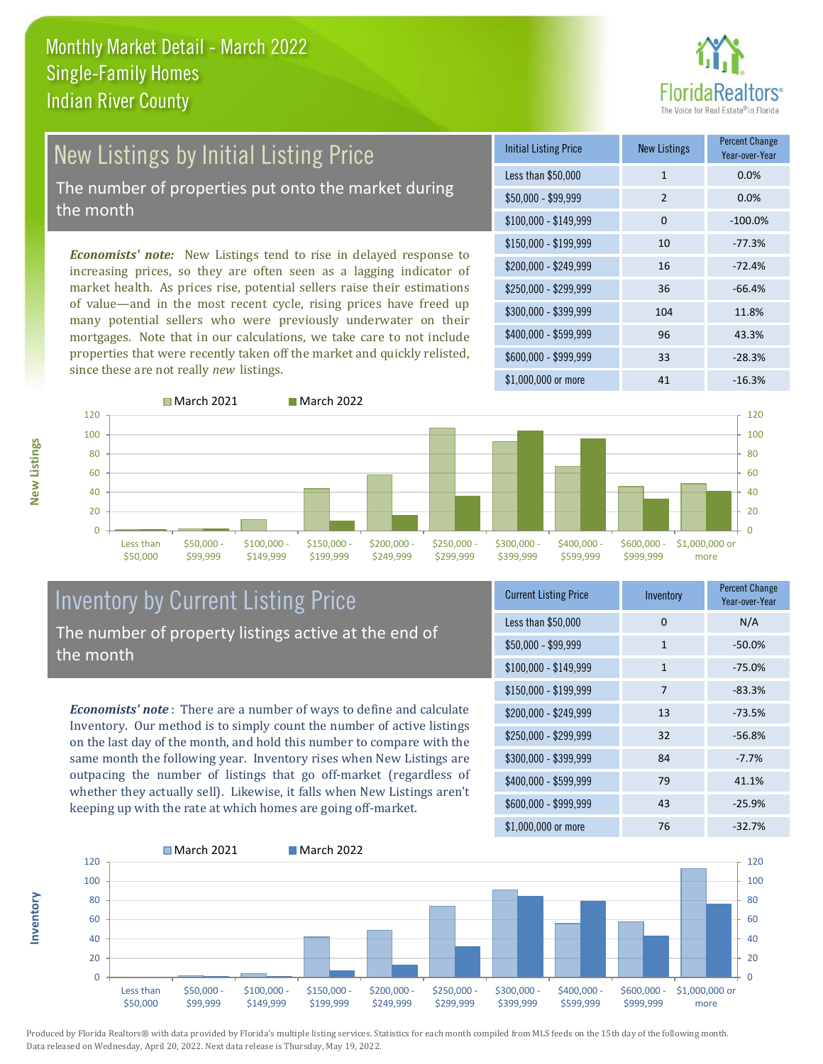# ealtors®

## New Listings by Initial Listing Price

The number of properties put onto the market during the month

*Economists' note:* New Listings tend to rise in delayed response to increasing prices, so they are often seen as a lagging indicator of market health. As prices rise, potential sellers raise their estimations of value—and in the most recent cycle, rising prices have freed up many potential sellers who were previously underwater on their mortgages. Note that in our calculations, we take care to not include properties that were recently taken off the market and quickly relisted, since these are not really *new* listings.





#### Inventory by Current Listing Price The number of property listings active at the end of the month

*Economists' note* : There are a number of ways to define and calculate Inventory. Our method is to simply count the number of active listings on the last day of the month, and hold this number to compare with the same month the following year. Inventory rises when New Listings are outpacing the number of listings that go off-market (regardless of whether they actually sell). Likewise, it falls when New Listings aren't keeping up with the rate at which homes are going off-market.

| <b>Current Listing Price</b> | Inventory    | <b>Percent Change</b><br>Year-over-Year |
|------------------------------|--------------|-----------------------------------------|
| Less than \$50,000           | 0            | N/A                                     |
| $$50,000 - $99,999$          | $\mathbf{1}$ | $-50.0%$                                |
| $$100,000 - $149,999$        | $\mathbf{1}$ | $-75.0%$                                |
| $$150,000 - $199,999$        | 7            | $-83.3%$                                |
| $$200,000 - $249,999$        | 13           | $-73.5%$                                |
| \$250,000 - \$299,999        | 32           | $-56.8%$                                |
| \$300,000 - \$399,999        | 84           | $-7.7%$                                 |
| \$400,000 - \$599,999        | 79           | 41.1%                                   |
| \$600,000 - \$999,999        | 43           | $-25.9%$                                |
| $$1,000,000$ or more         | 76           | $-32.7%$                                |



Produced by Florida Realtors® with data provided by Florida's multiple listing services. Statistics for each month compiled from MLS feeds on the 15th day of the following month. Data released on Wednesday, April 20, 2022. Next data release is Thursday, May 19, 2022.

**Inventory**